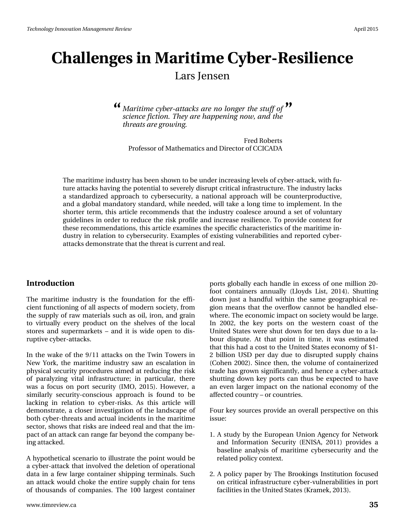# **Challenges in Maritime Cyber-Resilience**

# Lars Jensen

**"** *Maritime cyber-attacks are no longer the stuff of* **"** *science fiction. They are happening now, and the threats are growing.*

Fred Roberts Professor of Mathematics and Director of CCICADA

The maritime industry has been shown to be under increasing levels of cyber-attack, with future attacks having the potential to severely disrupt critical infrastructure. The industry lacks a standardized approach to cybersecurity, a national approach will be counterproductive, and a global mandatory standard, while needed, will take a long time to implement. In the shorter term, this article recommends that the industry coalesce around a set of voluntary guidelines in order to reduce the risk profile and increase resilience. To provide context for these recommendations, this article examines the specific characteristics of the maritime industry in relation to cybersecurity. Examples of existing vulnerabilities and reported cyberattacks demonstrate that the threat is current and real.

#### **Introduction**

The maritime industry is the foundation for the efficient functioning of all aspects of modern society, from the supply of raw materials such as oil, iron, and grain to virtually every product on the shelves of the local stores and supermarkets – and it is wide open to disruptive cyber-attacks.

In the wake of the 9/11 attacks on the Twin Towers in New York, the maritime industry saw an escalation in physical security procedures aimed at reducing the risk of paralyzing vital infrastructure; in particular, there was a focus on port security (IMO, 2015). However, a similarly security-conscious approach is found to be lacking in relation to cyber-risks. As this article will demonstrate, a closer investigation of the landscape of both cyber-threats and actual incidents in the maritime sector, shows that risks are indeed real and that the impact of an attack can range far beyond the company being attacked.

A hypothetical scenario to illustrate the point would be a cyber-attack that involved the deletion of operational data in a few large container shipping terminals. Such an attack would choke the entire supply chain for tens of thousands of companies. The 100 largest container

ports globally each handle in excess of one million 20 foot containers annually (Lloyds List, 2014). Shutting down just a handful within the same geographical region means that the overflow cannot be handled elsewhere. The economic impact on society would be large. In 2002, the key ports on the western coast of the United States were shut down for ten days due to a labour dispute. At that point in time, it was estimated that this had a cost to the United States economy of \$1- 2 billion USD per day due to disrupted supply chains (Cohen 2002). Since then, the volume of containerized trade has grown significantly, and hence a cyber-attack shutting down key ports can thus be expected to have an even larger impact on the national economy of the affected country – or countries.

Four key sources provide an overall perspective on this issue:

- 1. A study by the European Union Agency for Network and Information Security (ENISA, 2011) provides a baseline analysis of maritime cybersecurity and the related policy context.
- 2. A policy paper by The Brookings Institution focused on critical infrastructure cyber-vulnerabilities in port facilities in the United States (Kramek, 2013).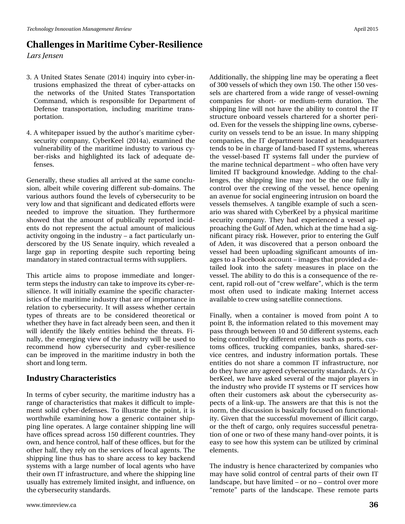## **Challenges in Maritime Cyber-Resilience**

*Lars Jensen*

- 3. A United States Senate (2014) inquiry into cyber-intrusions emphasized the threat of cyber-attacks on the networks of the United States Transportation Command, which is responsible for Department of Defense transportation, including maritime transportation.
- 4. A whitepaper issued by the author's maritime cybersecurity company, CyberKeel (2014a), examined the vulnerability of the maritime industry to various cyber-risks and highlighted its lack of adequate defenses.

Generally, these studies all arrived at the same conclusion, albeit while covering different sub-domains. The various authors found the levels of cybersecurity to be very low and that significant and dedicated efforts were needed to improve the situation. They furthermore showed that the amount of publically reported incidents do not represent the actual amount of malicious activity ongoing in the industry – a fact particularly underscored by the US Senate inquiry, which revealed a large gap in reporting despite such reporting being mandatory in stated contractual terms with suppliers.

This article aims to propose immediate and longerterm steps the industry can take to improve its cyber-resilience. It will initially examine the specific characteristics of the maritime industry that are of importance in relation to cybersecurity. It will assess whether certain types of threats are to be considered theoretical or whether they have in fact already been seen, and then it will identify the likely entities behind the threats. Finally, the emerging view of the industry will be used to recommend how cybersecurity and cyber-resilience can be improved in the maritime industry in both the short and long term.

#### **Industry Characteristics**

In terms of cyber security, the maritime industry has a range of characteristics that makes it difficult to implement solid cyber-defenses. To illustrate the point, it is worthwhile examining how a generic container shipping line operates. A large container shipping line will have offices spread across 150 different countries. They own, and hence control, half of these offices, but for the other half, they rely on the services of local agents. The shipping line thus has to share access to key backend systems with a large number of local agents who have their own IT infrastructure, and where the shipping line usually has extremely limited insight, and influence, on the cybersecurity standards.

Additionally, the shipping line may be operating a fleet of 300 vessels of which they own 150. The other 150 vessels are chartered from a wide range of vessel-owning companies for short- or medium-term duration. The shipping line will not have the ability to control the IT structure onboard vessels chartered for a shorter period. Even for the vessels the shipping line owns, cybersecurity on vessels tend to be an issue. In many shipping companies, the IT department located at headquarters tends to be in charge of land-based IT systems, whereas the vessel-based IT systems fall under the purview of the marine technical department – who often have very limited IT background knowledge. Adding to the challenges, the shipping line may not be the one fully in control over the crewing of the vessel, hence opening an avenue for social engineering intrusion on board the vessels themselves. A tangible example of such a scenario was shared with CyberKeel by a physical maritime security company. They had experienced a vessel approaching the Gulf of Aden, which at the time had a significant piracy risk. However, prior to entering the Gulf of Aden, it was discovered that a person onboard the vessel had been uploading significant amounts of images to a Facebook account – images that provided a detailed look into the safety measures in place on the vessel. The ability to do this is a consequence of the recent, rapid roll-out of "crew welfare", which is the term most often used to indicate making Internet access available to crew using satellite connections.

Finally, when a container is moved from point A to point B, the information related to this movement may pass through between 10 and 50 different systems, each being controlled by different entities such as ports, customs offices, trucking companies, banks, shared-service centres, and industry information portals. These entities do not share a common IT infrastructure, nor do they have any agreed cybersecurity standards. At CyberKeel, we have asked several of the major players in the industry who provide IT systems or IT services how often their customers ask about the cybersecurity aspects of a link-up. The answers are that this is not the norm, the discussion is basically focused on functionality. Given that the successful movement of illicit cargo, or the theft of cargo, only requires successful penetration of one or two of these many hand-over points, it is easy to see how this system can be utilized by criminal elements.

The industry is hence characterized by companies who may have solid control of central parts of their own IT landscape, but have limited – or no – control over more "remote" parts of the landscape. These remote parts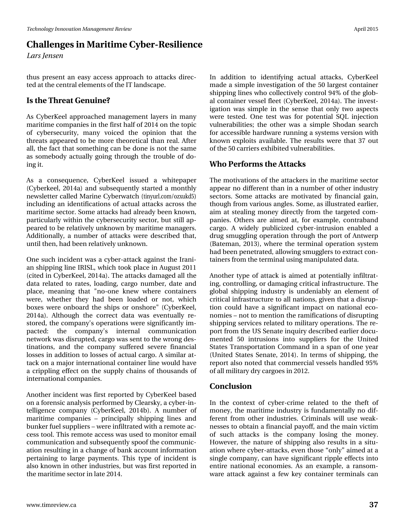# Fkdochqihv#q#Pdulwlph#Flehu0Uhvldhqfh Od w#Mig vhg

wkxv#suhvhqw#dq#hdv|#dffhvv#dssurdfk#wr#dwwdfnv#gluhf0 what they were have the with the Wedgay f ds h1

### Lv#wkh#Wkuhdw#JhqxlqhB

Dv#F| ehuNhho#dssur df khg#p dqdj hp hqw#od| huv#lq#p dq| # pdu/whph#frpsdqlhv#q#wkh#luvw#kdoi#i#5347#q#wkh#wrslf# ri#f|ehuvhfxulw|/#pdq|#yrlfhg#wkh#rslqlrq#wkdw#wkh# vk uhdw#dsshduhg#w #eh#p ruh#wkhruhwfdd#wkdq#uhdo#Divhu# doo/#wkh#dfw#wkdw#vrphwklqj#dq#eh#grqh#lv#qrw#wkh#vdph# dv#vrpherg|#dfwxdoo|#jrlqj#wkurxjk#wkh#wurxeoh#ri#gr0 lqj#w#

Dv# d# f r q vht x hq f h/#  $F$ | e huNh h d# l vvx h g # d # z k l vhs ds h u  $+$ F ehunhhol#5347d,#dqg#vxevhtxhqvol#vvoluvhg#d#prqvkol# qhz vohwhu# doohg#P dulqh#F|ehuz dwfk#wlq|xuofrp 2r}{xng8,# lqf oxglqj#dq#lghqwlifdwrqv#ri#dfwxdo#dwodfnv#dfurvv#wkh# p duwp h#whfwru#Wrp h#dwelfnv#kdg#dahdg|#ehhq#nqrzq/# sduwfxoduo)#zlwklq#wkh#flehuvhfxulw|#vhfwru/#exw#wwoo#ds0 shdung#ww #eh#uhadwlyho #xqnqrzq#e| #pdulwiph#pdqdjhuv# Dgglwr qdool/#d#qxp ehu#ri#dwodfnv#z huh#ghvfulehg#wkdw# xqwo#kkhq/#kdg#chhq#uhodwlyho|#xqnqrzq1

Rgh#vxfk#gflghqw#zdv#d#flehu0dwwdfn#djdlgw#wkh#Ludgl0 dq#vklsslqj#blqh#LULVO/#zklfk#wrrn#sodfh#lq#Dxjxw#5344# #lwhg#q#F|ehuNhho/#5347d,1#Wkh#dwwdfnv#gdpdjhg#doc#wkh# gdvd#uhodvhg#wr#udvhv/#ordglqj/#fdujr#qxpehu/#gdvh#dqg# sodf h/#p hdqlqj#wkdw#%qr0rqh#nqhz#zkhuh#frqwdlqhuv# z huh/#z khwkhu#wkh|#kdg#ehhq#ordghg#ru#qrw#z klfk# er {hv#z huh#r qerdug#wkh#vklsv#ru#r qvkruh%#+F|ehuNhho/# 5347d, #Dowkr xj k#wkh#fr uuhfw#gdwd#z dv#hyhqwxdoo|#uh0 www.uhg/#wkh#frpsdq|Šv#shudwirqv#zhuh#vljqlilfdqwo|#p0 sdfwhg=#wkh#frpsdq|Šr#lqwhuqdo#frppxqlfdwlrq# qhwz run#z dv#glvux swhg/# dujr#z dv#vhqw#wr#wk h#zurqj#ghv0 who dwir qv/#dqg#wkh#frpsdq|#vxiihuhg#vhyhuh#ilqdqfldd# or whv#q#dgglwlrq#wr#or whv#ri#dfwxdo#fdujr#D#vlplodu#dw0 wdf n#rq#d#pdmu#qwhuqdwlrqdd#frqwdlqhu#Jqh#zrxog#kdyh# d#fulssolqj#hiihfw#rq#wkh#vxsso|#fkdlqv#ri#wkrxvdqgv#ri# lqwhuqdwlrqdo#rpsdqlhv1

Darwkhu#qflghqwtzdv#luw#uhsruwhg#e|#FlehuNhho#edvhg# rq#d#ruhqvlf#dqdqvlv#shuiruphg#e|#Fohduvn|/#d#lehu0q0 whoolj hqf h#f r p sdq|#+F|ehuNhho/#5347e, #D#qxp ehu#ri# p duwhp h#frp sdqlhv#'#sulqflsdoo|#vklsslqj#dqhv#dqg# exqnhu#xho#xssolhuv##zhuh#qilow.dvhg#zlvk#d#uhprvh#df0 fhw#wrd#AVklv#uhprwh#dffhw#zdv#xvhg#wr#prqlwru#hpdlo# frppxqlfdwlrq#dqg#vxevhtxhqwo|#vsrri#wkh#frppxqlf0 dwtr g#uhvxowlgi#lq#d#fkdqjh#ri#edqn#dffrxqw#lqirupdwtrq# shuvdlqlqj#wr#odujh#sd|phqwr#Wklv#w|sh#ri#lqflghqw#lv# dovr#nqrzq#lq#rwkhu#lqgxwwJhv/#exw#zdv#lluw#uhsruwhg#lq# wkh#p dulwip h#vhfwru#q#odwh#53471

Lq#dgglwr q#wr#lghqwi|lqj#dfwrdd#dwrdfnv/#F|ehuNhhd# p dgh#d#vlp soh#lqyhvvkjdwlrg#ri#wkh#83#odujhvv#frqwdlghu# vklsslqj#dqhv#zkr#froohfwlyho|#frqwuro#<7(#ri#wkh#jore0 doff r gwdlghu#yhvvho#dnhw#HF|ehuNhho/#5347d,1#Wkh#gyhvv0 lj dw'r q#z dv#vlp soh#lq#wkh#vhqvh#wkdw#r qo| #wz r#dvshfww# z huh#whw hg #Rqh#whw#z dv#iru#srwhqwldd#VT O#lqmlfwrq# yxoghudeldwhy#wkh#rwkhu#zdv#d#vlpsoh#Vkrgdq#vhdufk# iru#dffhwleoh#kdugzduh#uxqqlqj#d#v|whpv#yhuvlrq#zlwk# nqrzq#n{sorlw#dydlodeoh1#Nkh#uhvxow#zhuh#Mkdw#6: #rxw# ri#kh#83#duulhuv#h{klelwhg#yxoqhudeldwhv1

#### Z kr#Shuirup v#wkh#Dwndfnv

Wikh#p r whydw'r qv#r i#wkh#dwodfnhuv#lq#wkh#p dulwlph#whfwru# dsshdu#gr#gliihuhqw#wkdq#q#d#qxpehu#ri#wkhu#qgxwwq# vhf w w#Vrp h#dwdf nv#duh#p r wlydwhg#e|#ilqdqfldd#jdlq/# wkrxjk#urp#ydulrxv#dqjdnv1#Vrph/#dv#looxwudwhg#hduolhu/# dlp#dw#whdologi#prqh|#gluhfwo|#lurp#wkh#wdujhwhg#frp0 sdglhv#Rwkhw#duh#dlphg#dw#iru#h{dpsdn/#frqwudedgg# f duj r #D#z Ighd #sxedfl}hg#f|ehu0qwuxvlrq#hqdedng#d# guxj#vpxjjdqj#rshudwlrq#wkurxjk#wkh#sruw#ri#Dqwzhus# +Edwhp dq/#5346,/#z khuh#wkh#whup lqdd#r shudwlrq#v| wwhp # k dg#chhq#shqhw.dvhq/#doorzlqi#vpxjjdhuv#wr#h{wudfw#frq0 wollghuv#urp#wkh#whuplgdo#xvlgi#pdglsxodwhg#gdwd1

Darwkhu#wlsh#ri#dwodfn#lv#dlphg#dw#srwhqwldool#lqilow.dw0 lqj/#frqwuroolqj/#u#gdpdjlqj#ulwfdc#qiudwuxfwruh1#Wkh# joredo#vklsslqj#lqgxvvu|#lv#xqghqldeo|#dq#hohphqw#ri# ful wifd chargi ud wux fwx uh#wr#doo#gdwlrgv/#llyhq#wkdw#d#glvux s0 whrq#frxonq#kdyh#d#vljqlilfdqw#lpsdfw#rq#qdwlrqdo#hfr0 qrp lhv##qrw#wr#phqwlrq#wkh#udplilfdwlrqv#ti#glvuxswlqj# vklsslqj#vhuylfhv#uhodvhg#wr#pldvodu|#shudvlrqv#Wkh#uh0 sruw#urp#wkh#XV#Vhqdwh#qtxlu|#ghvfulehg#hduolhu#grfx0 phqwhg#83#lqww.vlrgv#lqwr#vxssdhuv#iru#wkh#Xqlwhg# Wodwhv#Wudqvsruwdwlrg#Frppdgg#lg#d#vsdg#ri#rgh#lhdu# +Xqlvhg#Vvdvhv#Vhqdvh/#5347,1#Lq#vhupv#ri#vklsslqj/#vkh# uhsruwidovr#grwhg#wkdw#rpphufldd#yhwhov#kdqgdng#<8(# ri#doo#plolvodu|#gu|#dujrhv#q#53451

## $F$ r qf  $\alpha$  vlr q

Lq#wkh#frqwh{w#ri#f|ehu0fulph#uhodwhg#wr#wkh#wkhiw#ri# prqh|/#wkh#pdulwiph#lqgxwwu|#lv#lxqgdphqwdoo|#qr#gli0 ihuhqw#iurp#rwkhu#lqgxwwdhv#Fulplqdov#zloo#xvh#zhdn0 qhwhv#wr#ewdlq#d#lqdqfldd#sd|rii/#dqg#wkh#pdlq#ylfwlp# ri#vxfk#dwndfnv#lv#wkh#frpsdq|#orvlqj#wkh#prqh|1# Krzhyhu/#wkh#qdwxuh#ri#wklsslqj#dovr#uhvxow#lq#d#vlwx0 dwir q #z k huh # | e hu0dwd f nv / # hy hq # wk r v h # r q d T # d l p hg # dwid # viqjoh#frpsdq|/#dq#kdyh#vljqlilfdqw#Jssoh#hiihfw#lqwr# hqwluh#qdwlrqdd#hfrqrplhv#Dv#dq#h{dpsdn/#d#udqvrp0 z duh#dwafn#djdlqw#d#ihz#nh|#frqwalqhu#whuplqdow#dq#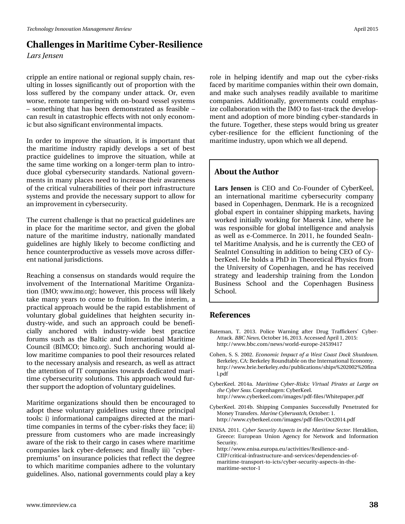# Fkdochqihv#q#Pdulwlph#Flehu0Uhvldhqfh Oduv#Mig vhg

fulssoh#dq#hqwluh#qdwlrqdo#ru#uhjIrqdo#xxssoj#kdlq/#uhv0 xowlogi#lq#orvvhv#vliqlilfdqwoj#rxw#ri#sursruwlrq#zlwk#wk.h# or w#vxiihuhg#e|#wkh#frpsdq|#xqghu#dwwdfn#Ru/#hyhq# z r wh/#uhp r wh#wdp shulqj #z lwk# q0er dug#yhvvho#v| whp v# ' # vrp hwklqj # wkdw# kdv#ehhq#ghp rqvwudwhg# dv#ihdvledh## fdq#uhvxow#q#fdwdvwursklf#hiihfw#zlwk#qrw#qo|#hfrqrp0 If #exw#dowr#vliglilfdgw#ngylurgphgwdd#psdfwv1

Lq#rughu#wr#lpsuryh#wkh#vlwxdwlrq/#lw#lv#lpsruwdqw#wkdw# wkh#p duwip h#lqgxwwd #udslgo|#ghyhorsv#d#vhw#ri#ehww# sudf wf h#j xlgholqhv#wr#lp sur yh#wkh#vlwxdwlr q/#z kloh#dw# wk h#vdp h#vlp h#z r unlqj#r q#d#or qj hu0vhup #sodq#wr#lqwur0 gxfh#joredd#f|ehuvhfxulw|#wodqgdugv1#Qdwlrqdd#jryhuq0 p hqw#q#p dq|#sodf hv#qhhg#wr#qf uhdvh#wkhlu#dz duhqhvv# ri#wkh#fulwfdc#yxoqhudelolwhv#ri#wkhlu#sruw#qiudvwuxfwxuh# v| who v#dqg#surylgh#wkh#qhfhwdu| #vxssruw#wr#doorz#iru# dq#p sur yhp hqw#q#|ehuvhf xulw| #

Wikh#xuuhqw#kdoohqjh#v#wkdw#qr#sudfwlfdd#xlgholqhv#duh# lq#sodfh#iru#wkh#pdulwlph#vhfwru/#dqg#jlyhq#wkh#joredo# qdwx uh#ri#wkh#pdulwlph#lqgx wwu /#qdwlrqdool#pdqgdwhg# jxlghdqhv#duh#kljko|#dnho|#wr#ehfrph#frqidfwlqj#dqg# khqfh#frxqwhusurgxfwlyh#dv#yhvvhov#pryh#dfurvv#gliihu0 hqweddwr gdd#naulvglfwlr gv#

Uhdfklgj#d#frgvhgvxv#rg#wdggdugv#zrxog#uhtxluh#wkh# lqyr gyhp hqw#r i#wkh#Lqwhuqdwlr qdd#P dulwlp h#Rujdql}d0 whrq#ALPR>#zz1pr1ruj, \*krzhyhu/#wklv#surfhvv#zloo#bhnlq# wdnh#pdq|#|hduv#wr#frph#wr#iuxlwlrq1#Lq#wkh#lqwhulp/#d# sudfwlfddddssurdfk#zrxog#eh#wkh#udslg#hwodedlwkphqw#ri# yr oxgwdul #joredo#jxlgholghv#wkdw#khljkwhq#vhfxulw|#lq0 gxwu|0zlgh/#dqg#vxfk#dq#dssurdfk#frxog#eh#ehqhil0 fldoo)# dqfkruhg#zlwk#lqgxwwd 0zlgh#ehw#sudfwlfh# ir uxp v#vxfk#dv#wkh#Edowlf#dqg#Lqwhuqdwlrqdd#Pdulwlph# Frxqflo#+ELPFR>#elpfr1ruj,1#Vxfk#dqfkrulqj#zrxoq#do0 orz#pdulwhph#frpsdqlhv#wr#srro#wkhlu#uhvrxufhv#uhodwhg# w #wk h#ghf hvvdul #dqdd vlv#dqg#uhvhduf k/#dv#z hoo#dv#dwwdf w# wkh#dwhqwlrq#ri#LW#frpsdqlhv#wrzdugv#ghglfdwhg#pdul0 who h#f|ehuvhfxulw|#vroxwlrqv1#Wklv#dssurdfk#zrxog#ixu0 wk.hu#xssruw#wk.h#dgrswlrq#i#yroxqwdul#xlgholqhv1

P duwip h#r ujdql}dwir qv#vkrxog#wkhq#eh#hqfrxudjhg#wr# dgrsw#wk.hvh#yroxqwdu|#jxlgholqhv#xvlqj#wk.uhh#sulqflsdo# wro.—#,#qirupdwtrqdo#fdpsdljqv#gluhfwhg#dw#wkh#pdul0 who h#frp sdqlhv#q#whup v#ti#wkh#lehu0uJvnv#wkh|#dfh>#l,# suhwxuh#iurp#fxwwrphuv#zkr#duh#pdgh#lqfuhdvlqjd# dz duh#i#wkh#ulvn#wr#wkhlu#idujr#q#idvhv#z khuh#p dulwlp h# frp sdqlhv#odfn#f|ehu0ghihqvhv=#dqg#lqdoo|#ll,#%|ehu0 suhp lxp v%# q#qvxudqfh#srdflhv#wkdw#uhidnfw#wkh#ghjuhh# wr#z klfk#pdulwlph#frpsdqlhv#dgkhuh#wr#wkh#yroxqwdu|# j xlgholqhv1#Dovr/#qdwlrqdo#jryhuqphqwr#frxog#sod|#d#nh|#

ur oh#lq#khoslqj#lghqwli|#dqg#p ds#r xw#wkh#f|ehu0ulvnv# idfhg#e|#pdulwhph#frpsdqlhv#zlwklq#wkhlu#zq#grpdlq/# dqg#p dnh#vxfk#dqdqvhv#uhdglq#dydlodedn#wr#p dulwlph# frp sdqlhv#Dgglwtrqdool/#jryhuqphqw#frxog#hpskdv0 I} h# rooder udwir q#z lwk#wk h#LP R#wr#dw0wudfn#wk h#ghyhors0 phqw#dqg#dgrswlrg#ri#pruh#elqglqj#f|ehu0wodqgdugv#q# wkh#xwxuh1#Wrjhwkhu/#wkhvh#whsv#zrxog#eulgj#xv#juhdwhu# f ehu $\Omega$ uhvidhqf h#iru#wkh#hiilflhqw#ixqfwlrqlqj#ri#wkh# p dulwip h#qgxwwu|/#xsrq#zklfk#zh#doo#ghshqg1

#### Der xwork h#Dxwkru

Oduv#Miqvhq#lv#FHR#dqg#Fr0lrxqghu#ri#FlehuNhho/# dq#lqwhuqdwlrqdd#pdulwlph#f|ehuvhfxulw|#frpsdq|# edvhg#q#Frshqkdjhq/#Ghqpdun#Kh#v#d#uhfrjql}hg# joredo#n{shuw#q#frqwdlqhu#vklsslqj#pdunhwv/#kdylqj# z r unhg#lqlwldood #z r unlqj #l r u#P dhuvn#Olgh/#z k huh#k h# z dv#uhvsrqvledn#iru#joredc#lqvhooljhqfh#dqg#dqdqvlv# dv#z hoo#dv#h0Frpphufh1#Lq#5344/#kh#irxqghg#VhdLq0 wholfP dulwip h#Dqdojvlv/#dqg#kh#lv#ixuuhqwoj#wkh#FHR#ii# VhdLqwholFrqvxowlqj#q#dgglwlrq#wr#ehlqj#FHR#ri#F|0 ehuNhhof#Kh#krogv#d#SkG#q#Wkhruhwfdd=Sk|vlfv#urp# wkh#Xqlyhuvlw|#ri#Frshqkdjhq/#dqg#kh#kdv#uhfhlyhg# ww.dvhil #dqg#dndghuvkls#wudlqlqj#iurp#wkh#Orqgrq# Exvighw# Vf kr r o# dqg# wkh# Fr shqkdj hq# Exvighw# Vfkrro1

## Uhi huhqf hv

- Edwhp dq/#W#53461#Sr of h#Z duqlqj #diwhu#Guxj #Wudiilfnhuvš#F|ehu0 Dwdf n #EEF#Qhz v/#Rf wrehu#19/#53461#Dff hvvhg#Dsuld#1/#5348= kws=22z z z 1eef1frp 2qhz v2z ruog0hxursh05786<74:
- Frkhq/#V1#V1#53351#Hfrqrplf#Lpsdfw#ri#d#Zhw#Frdw#Grfn#Vkxwqrzq1# Ehunhoh / #FD=#Ehunhoh | #Urxqgvoleoh #q#wkh#Lqvhuqdwlrqdo#Hfrqrp | 1# kws=22z z z feulhfehunhdn| figx2sxedfdwr qv2vklsv( 535335( 53ilqd dsgi
- F| ehuNhhol#5347d'#P dulwip h#F| ehu0Ulvnv=#Yluwxdo#Sludwhv#dw#Oduj h#r q# wkh#F|ehu#Vhdv1#Frshqkdjhq=#F|ehuNhho1 kws=22z z z 1 | ehunhhof r p 2lp dj hv2sgi0ldnv2Z klwhsdshutsgi
- F|ehuNhhol#5347e#Vklsslqj#Frpsdqlhv#Vxffhwixoo|#Shqhwdwhg#iru# Prgh|#Wudqvihuv1#Pdulgh#F|ehuzdwfk/#Rfwrehu#41 kwns=22z z z 1f|ehun hhoffrp 2lp djh∨2sgi0iloh∨2Rfv153471sgi
- HQLVD1453441#F|ehu#Vhfxulwl#Dvshfw#lq#wkh#Pdulwlph#Vhfwru1#Khudndrq/# Juhhfh=#Hxurshdq#Xqlrq#Djhqf|#iru#Qhwzrun#dqg#Lqirupdwlrq# Vhf x uw 1
	- kws=22z z z 1hqlvd1hxur sd1hx2df wlyWhv2Uhvldhqf h0dqg0
	- FLLS2f uwf do0qiudwuxf wx uh0dqg0vhuylf hv2ghshqghqf lhv0ri0 p dulwip h0wdqvsruw0wr0ffw2f|ehu0vhfxulw|0dvshfwv0lq0wkh0
	- p duwp h0vhf w u04